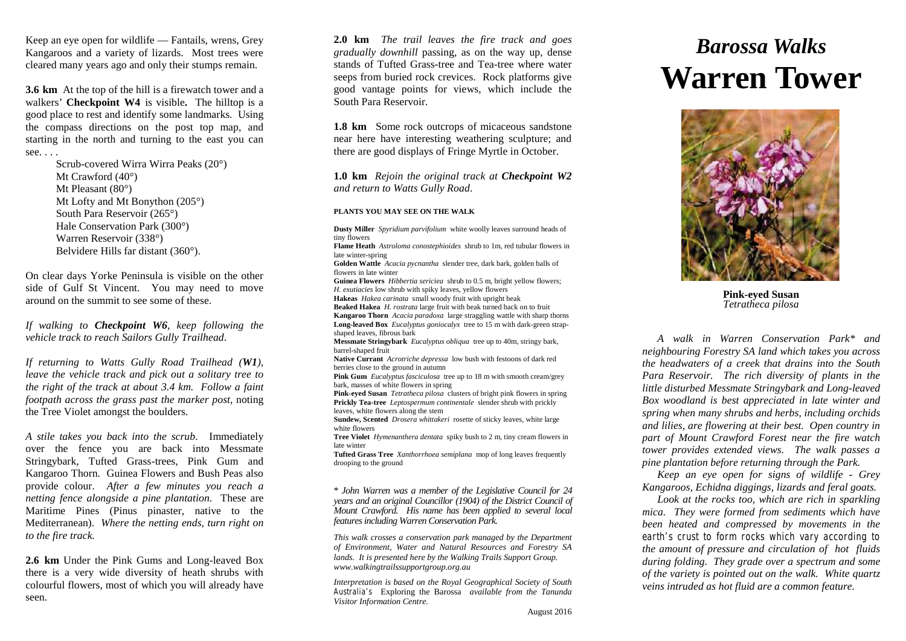Keep an eye open for wildlife — Fantails, wrens, Grey Kangaroos and a variety of lizards. Most trees were cleared many years ago and only their stumps remain.

**3.6 km** At the top of the hill is a firewatch tower and a walkers' **Checkpoint W4** is visible**.** The hilltop is a good place to rest and identify some landmarks. Using the compass directions on the post top map, and starting in the north and turning to the east you can see. . . .

> Scrub-covered Wirra Wirra Peaks (20°) Mt Crawford (40<sup>o</sup>) Mt Pleasant (80°) Mt Lofty and Mt Bonython (205°) South Para Reservoir (265°) Hale Conservation Park (300°) Warren Reservoir (338°) Belvidere Hills far distant (360°).

On clear days Yorke Peninsula is visible on the other side of Gulf St Vincent. You may need to move around on the summit to see some of these.

*If walking to Checkpoint W6, keep following the vehicle track to reach Sailors Gully Trailhead*.

*If returning to Watts Gully Road Trailhead (W1), leave the vehicle track and pick out a solitary tree to the right of the track at about 3.4 km. Follow a faint footpath across the grass past the marker post,* noting the Tree Violet amongst the boulders.

*A stile takes you back into the scrub*. Immediately over the fence you are back into Messmate Stringybark, Tufted Grass-trees, Pink Gum and Kangaroo Thorn. Guinea Flowers and Bush Peas also provide colour. *After a few minutes you reach a netting fence alongside a pine plantation*. These are Maritime Pines (Pinus pinaster, native to the Mediterranean). *Where the netting ends, turn right on to the fire track.*

**2.6 km** Under the Pink Gums and Long-leaved Box there is a very wide diversity of heath shrubs with colourful flowers, most of which you will already have seen.

**2.0 km** *The trail leaves the fire track and goes gradually downhill* passing, as on the way up, dense stands of Tufted Grass-tree and Tea-tree where water seeps from buried rock crevices. Rock platforms give good vantage points for views, which include the South Para Reservoir.

**1.8 km** Some rock outcrops of micaceous sandstone near here have interesting weathering sculpture; and there are good displays of Fringe Myrtle in October.

**1.0 km** *Rejoin the original track at Checkpoint W2 and return to Watts Gully Road*.

#### **PLANTS YOU MAY SEE ON THE WALK**

**Dusty Miller** *Spyridium parvifolium* white woolly leaves surround heads of tiny flowers

**Flame Heath** *Astroloma conostephioides* shrub to 1m, red tubular flowers in late winter-spring

**Golden Wattle** *Acacia pycnantha* slender tree, dark bark, golden balls of flowers in late winter

**Guinea Flowers** *Hibbertia sericiea* shrub to 0.5 m, bright yellow flowers; *H. exutiacies* low shrub with spiky leaves, yellow flowers **Hakeas** *Hakea carinata* small woody fruit with upright beak **Beaked Hakea** *H. rostrata* large fruit with beak turned back on to fruit **Kangaroo Thorn** *Acacia paradoxa* large straggling wattle with sharp thorns **Long-leaved Box** *Eucalyptus goniocalyx* tree to 15 m with dark-green strap-

shaped leaves, fibrous bark **Messmate Stringybark** *Eucalyptus obliqua* tree up to 40m, stringy bark, barrel-shaped fruit

**Native Currant** *Acrotriche depressa* low bush with festoons of dark red berries close to the ground in autumn

**Pink Gum** *Eucalyptus fasciculosa* tree up to 18 m with smooth cream/grey bark, masses of white flowers in spring

**Pink-eyed Susan** *Tetratheca pilosa* clusters of bright pink flowers in spring **Prickly Tea-tree** *Leptospermum continentale* slender shrub with prickly leaves, white flowers along the stem

**Sundew, Scented** *Drosera whittakeri* rosette of sticky leaves, white large white flowers

**Tree Violet** *Hymenanthera dentata* spiky bush to 2 m, tiny cream flowers in late winter

**Tufted Grass Tree** *Xanthorrhoea semiplana* mop of long leaves frequently drooping to the ground

\* *John Warren was a member of the Legislative Council for 24 years and an original Councillor (1904) of the District Council of Mount Crawford. His name has been applied to several local features including Warren Conservation Park*.

*This walk crosses a conservation park managed by the Department of Environment, Water and Natural Resources and Forestry SA lands. It is presented here by the Walking Trails Support Group. www.walkingtrailssupportgroup.org.au*

*Interpretation is based on the Royal Geographical Society of South Australia's* Exploring the Barossa *available from the Tanunda Visitor Information Centre.*

# *Barossa Walks* **Warren Tower**



**Pink-eyed Susan** *Tetratheca pilosa*

*A walk in Warren Conservation Park\* and neighbouring Forestry SA land which takes you across the headwaters of a creek that drains into the South Para Reservoir. The rich diversity of plants in the little disturbed Messmate Stringybark and Long-leaved Box woodland is best appreciated in late winter and spring when many shrubs and herbs, including orchids and lilies, are flowering at their best. Open country in part of Mount Crawford Forest near the fire watch tower provides extended views. The walk passes a pine plantation before returning through the Park.*

*Keep an eye open for signs of wildlife - Grey Kangaroos, Echidna diggings, lizards and feral goats.*

*Look at the rocks too, which are rich in sparkling mica. They were formed from sediments which have been heated and compressed by movements in the earth's crust to form rocks which vary according to the amount of pressure and circulation of hot fluids during folding. They grade over a spectrum and some of the variety is pointed out on the walk. White quartz veins intruded as hot fluid are a common feature.*